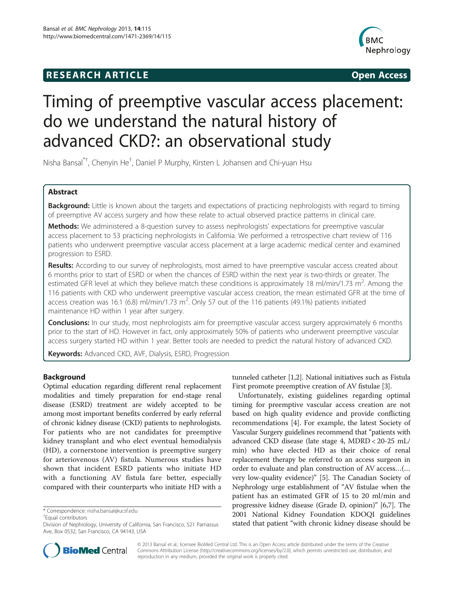## **RESEARCH ARTICLE Example 2014 12:30 The SEAR CHA RTICLE**



# Timing of preemptive vascular access placement: do we understand the natural history of advanced CKD?: an observational study

Nisha Bansal\*† , Chenyin He† , Daniel P Murphy, Kirsten L Johansen and Chi-yuan Hsu

## Abstract

Background: Little is known about the targets and expectations of practicing nephrologists with regard to timing of preemptive AV access surgery and how these relate to actual observed practice patterns in clinical care.

Methods: We administered a 8-question survey to assess nephrologists' expectations for preemptive vascular access placement to 53 practicing nephrologists in California. We performed a retrospective chart review of 116 patients who underwent preemptive vascular access placement at a large academic medical center and examined progression to ESRD.

Results: According to our survey of nephrologists, most aimed to have preemptive vascular access created about 6 months prior to start of ESRD or when the chances of ESRD within the next year is two-thirds or greater. The estimated GFR level at which they believe match these conditions is approximately 18 ml/min/1.73 m<sup>2</sup>. Among the 116 patients with CKD who underwent preemptive vascular access creation, the mean estimated GFR at the time of access creation was 16.1 (6.8) ml/min/1.73 m<sup>2</sup>. Only 57 out of the 116 patients (49.1%) patients initiated maintenance HD within 1 year after surgery.

**Conclusions:** In our study, most nephrologists aim for preemptive vascular access surgery approximately 6 months prior to the start of HD. However in fact, only approximately 50% of patients who underwent preemptive vascular access surgery started HD within 1 year. Better tools are needed to predict the natural history of advanced CKD.

Keywords: Advanced CKD, AVF, Dialysis, ESRD, Progression

## Background

Optimal education regarding different renal replacement modalities and timely preparation for end-stage renal disease (ESRD) treatment are widely accepted to be among most important benefits conferred by early referral of chronic kidney disease (CKD) patients to nephrologists. For patients who are not candidates for preemptive kidney transplant and who elect eventual hemodialysis (HD), a cornerstone intervention is preemptive surgery for arteriovenous (AV) fistula. Numerous studies have shown that incident ESRD patients who initiate HD with a functioning AV fistula fare better, especially compared with their counterparts who initiate HD with a

Equal contributors

tunneled catheter [\[1,2](#page-4-0)]. National initiatives such as Fistula First promote preemptive creation of AV fistulae [\[3](#page-4-0)].

Unfortunately, existing guidelines regarding optimal timing for preemptive vascular access creation are not based on high quality evidence and provide conflicting recommendations [\[4\]](#page-4-0). For example, the latest Society of Vascular Surgery guidelines recommend that "patients with advanced CKD disease (late stage 4, MDRD < 20-25 mL/ min) who have elected HD as their choice of renal replacement therapy be referred to an access surgeon in order to evaluate and plan construction of AV access…(… very low-quality evidence)" [[5](#page-4-0)]. The Canadian Society of Nephrology urge establishment of "AV fistulae when the patient has an estimated GFR of 15 to 20 ml/min and progressive kidney disease (Grade D, opinion)" [\[6](#page-4-0)[,7](#page-5-0)]. The 2001 National Kidney Foundation KDOQI guidelines stated that patient "with chronic kidney disease should be



© 2013 Bansal et al.; licensee BioMed Central Ltd. This is an Open Access article distributed under the terms of the Creative Commons Attribution License [\(http://creativecommons.org/licenses/by/2.0\)](http://creativecommons.org/licenses/by/2.0), which permits unrestricted use, distribution, and reproduction in any medium, provided the original work is properly cited.

<sup>\*</sup> Correspondence: [nisha.bansal@ucsf.edu](mailto:nisha.bansal@ucsf.edu) †

Division of Nephrology, University of California, San Francisco, 521 Parnassus Ave, Box 0532, San Francisco, CA 94143, USA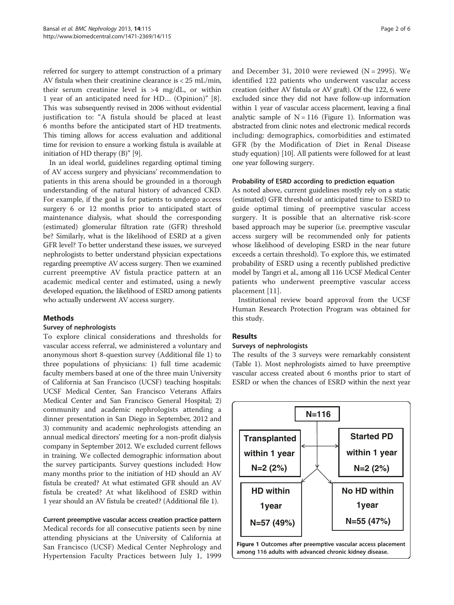<span id="page-1-0"></span>referred for surgery to attempt construction of a primary AV fistula when their creatinine clearance is < 25 mL/min, their serum creatinine level is >4 mg/dL, or within 1 year of an anticipated need for HD… (Opinion)" [\[8](#page-5-0)]. This was subsequently revised in 2006 without evidential justification to: "A fistula should be placed at least 6 months before the anticipated start of HD treatments. This timing allows for access evaluation and additional time for revision to ensure a working fistula is available at initiation of HD therapy (B)" [[9\]](#page-5-0).

In an ideal world, guidelines regarding optimal timing of AV access surgery and physicians' recommendation to patients in this arena should be grounded in a thorough understanding of the natural history of advanced CKD. For example, if the goal is for patients to undergo access surgery 6 or 12 months prior to anticipated start of maintenance dialysis, what should the corresponding (estimated) glomerular filtration rate (GFR) threshold be? Similarly, what is the likelihood of ESRD at a given GFR level? To better understand these issues, we surveyed nephrologists to better understand physician expectations regarding preemptive AV access surgery. Then we examined current preemptive AV fistula practice pattern at an academic medical center and estimated, using a newly developed equation, the likelihood of ESRD among patients who actually underwent AV access surgery.

## Methods

#### Survey of nephrologists

To explore clinical considerations and thresholds for vascular access referral, we administered a voluntary and anonymous short 8-question survey (Additional file [1](#page-4-0)) to three populations of physicians: 1) full time academic faculty members based at one of the three main University of California at San Francisco (UCSF) teaching hospitals: UCSF Medical Center, San Francisco Veterans Affairs Medical Center and San Francisco General Hospital; 2) community and academic nephrologists attending a dinner presentation in San Diego in September, 2012 and 3) community and academic nephrologists attending an annual medical directors' meeting for a non-profit dialysis company in September 2012. We excluded current fellows in training. We collected demographic information about the survey participants. Survey questions included: How many months prior to the initiation of HD should an AV fistula be created? At what estimated GFR should an AV fistula be created? At what likelihood of ESRD within 1 year should an AV fistula be created? (Additional file [1\)](#page-4-0).

Current preemptive vascular access creation practice pattern Medical records for all consecutive patients seen by nine attending physicians at the University of California at San Francisco (UCSF) Medical Center Nephrology and Hypertension Faculty Practices between July 1, 1999

and December 31, 2010 were reviewed  $(N = 2995)$ . We identified 122 patients who underwent vascular access creation (either AV fistula or AV graft). Of the 122, 6 were excluded since they did not have follow-up information within 1 year of vascular access placement, leaving a final analytic sample of  $N = 116$  (Figure 1). Information was abstracted from clinic notes and electronic medical records including: demographics, comorbidities and estimated GFR (by the Modification of Diet in Renal Disease study equation) [\[10](#page-5-0)]. All patients were followed for at least one year following surgery.

#### Probability of ESRD according to prediction equation

As noted above, current guidelines mostly rely on a static (estimated) GFR threshold or anticipated time to ESRD to guide optimal timing of preemptive vascular access surgery. It is possible that an alternative risk-score based approach may be superior (i.e. preemptive vascular access surgery will be recommended only for patients whose likelihood of developing ESRD in the near future exceeds a certain threshold). To explore this, we estimated probability of ESRD using a recently published predictive model by Tangri et al., among all 116 UCSF Medical Center patients who underwent preemptive vascular access placement [[11\]](#page-5-0).

Institutional review board approval from the UCSF Human Research Protection Program was obtained for this study.

#### Results

#### Surveys of nephrologists

The results of the 3 surveys were remarkably consistent (Table [1\)](#page-2-0). Most nephrologists aimed to have preemptive vascular access created about 6 months prior to start of ESRD or when the chances of ESRD within the next year

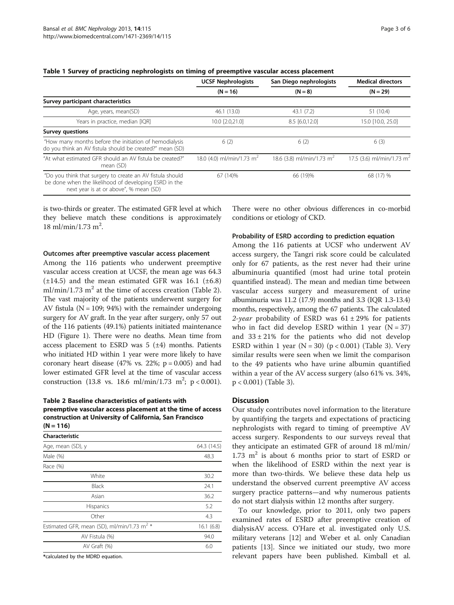|                                                                                                                                                              | <b>UCSF Nephrologists</b><br>San Diego nephrologists |                                       | <b>Medical directors</b>              |  |
|--------------------------------------------------------------------------------------------------------------------------------------------------------------|------------------------------------------------------|---------------------------------------|---------------------------------------|--|
|                                                                                                                                                              | $(N = 16)$                                           | $(N = 8)$                             | $(N = 29)$                            |  |
| Survey participant characteristics                                                                                                                           |                                                      |                                       |                                       |  |
| Age, years, mean(SD)                                                                                                                                         | 46.1 (13.0)                                          | 43.1(7.2)                             | 51 (10.4)                             |  |
| Years in practice, median [IQR]                                                                                                                              | 10.0 [2.0,21.0]                                      | $8.5$ [6.0,12.0]                      | 15.0 [10.0, 25.0]                     |  |
| <b>Survey questions</b>                                                                                                                                      |                                                      |                                       |                                       |  |
| "How many months before the initiation of hemodialysis<br>do you think an AV fistula should be created?" mean (SD)                                           | 6(2)                                                 | 6(2)                                  | 6(3)                                  |  |
| "At what estimated GFR should an AV fistula be created?"<br>mean (SD)                                                                                        | 18.0 (4.0) ml/min/1.73 m <sup>2</sup>                | 18.6 (3.8) ml/min/1.73 m <sup>2</sup> | 17.5 (3.6) ml/min/1.73 m <sup>2</sup> |  |
| "Do you think that surgery to create an AV fistula should<br>be done when the likelihood of developing ESRD in the<br>next year is at or above", % mean (SD) | 67 (14)%                                             | 66 (19)%                              | 68 (17) %                             |  |

<span id="page-2-0"></span>Table 1 Survey of practicing nephrologists on timing of preemptive vascular access placement

is two-thirds or greater. The estimated GFR level at which they believe match these conditions is approximately  $18 \text{ ml/min}/1.73 \text{ m}^2$ .

Outcomes after preemptive vascular access placement

Among the 116 patients who underwent preemptive vascular access creation at UCSF, the mean age was 64.3  $(\pm 14.5)$  and the mean estimated GFR was 16.1 ( $\pm 6.8$ ) ml/min/1.73 m<sup>2</sup> at the time of access creation (Table 2). The vast majority of the patients underwent surgery for AV fistula ( $N = 109$ ; 94%) with the remainder undergoing surgery for AV graft. In the year after surgery, only 57 out of the 116 patients (49.1%) patients initiated maintenance HD (Figure [1](#page-1-0)). There were no deaths. Mean time from access placement to ESRD was  $5$  ( $\pm 4$ ) months. Patients who initiated HD within 1 year were more likely to have coronary heart disease (47% vs. 22%;  $p = 0.005$ ) and had lower estimated GFR level at the time of vascular access construction (13.8 vs. 18.6 ml/min/1.73 m<sup>2</sup>; p < 0.001).

## Table 2 Baseline characteristics of patients with preemptive vascular access placement at the time of access construction at University of California, San Francisco

 $(N = 116)$ 

| Characteristic                                         |                     |  |
|--------------------------------------------------------|---------------------|--|
| Age, mean (SD), y                                      | 64.3 (14.5)<br>48.3 |  |
| Male (%)                                               |                     |  |
| Race (%)                                               |                     |  |
| White                                                  | 30.2                |  |
| Black                                                  | 24.1                |  |
| Asian                                                  | 36.2                |  |
| <b>Hispanics</b>                                       | 5.2                 |  |
| Other                                                  | 4.3                 |  |
| Estimated GFR, mean (SD), ml/min/1.73 m <sup>2</sup> * | 16.1(6.8)           |  |
| AV Fistula (%)                                         | 94.0                |  |
| AV Graft (%)                                           | 6.0                 |  |

\*calculated by the MDRD equation.

There were no other obvious differences in co-morbid conditions or etiology of CKD.

## Probability of ESRD according to prediction equation

Among the 116 patients at UCSF who underwent AV access surgery, the Tangri risk score could be calculated only for 67 patients, as the rest never had their urine albuminuria quantified (most had urine total protein quantified instead). The mean and median time between vascular access surgery and measurement of urine albuminuria was 11.2 (17.9) months and 3.3 (IQR 1.3-13.4) months, respectively, among the 67 patients. The calculated 2-year probability of ESRD was  $61 \pm 29\%$  for patients who in fact did develop ESRD within 1 year  $(N = 37)$ and  $33 \pm 21\%$  for the patients who did not develop ESRD within 1 year ( $N = 30$  $N = 30$  $N = 30$ ) ( $p < 0.001$ ) (Table 3). Very similar results were seen when we limit the comparison to the 49 patients who have urine albumin quantified within a year of the AV access surgery (also 61% vs. 34%, p < 0.001) (Table [3](#page-3-0)).

#### **Discussion**

Our study contributes novel information to the literature by quantifying the targets and expectations of practicing nephrologists with regard to timing of preemptive AV access surgery. Respondents to our surveys reveal that they anticipate an estimated GFR of around 18 ml/min/ 1.73  $m<sup>2</sup>$  is about 6 months prior to start of ESRD or when the likelihood of ESRD within the next year is more than two-thirds. We believe these data help us understand the observed current preemptive AV access surgery practice patterns—and why numerous patients do not start dialysis within 12 months after surgery.

To our knowledge, prior to 2011, only two papers examined rates of ESRD after preemptive creation of dialysisAV access. O'Hare et al. investigated only U.S. military veterans [\[12](#page-5-0)] and Weber et al. only Canadian patients [\[13](#page-5-0)]. Since we initiated our study, two more relevant papers have been published. Kimball et al.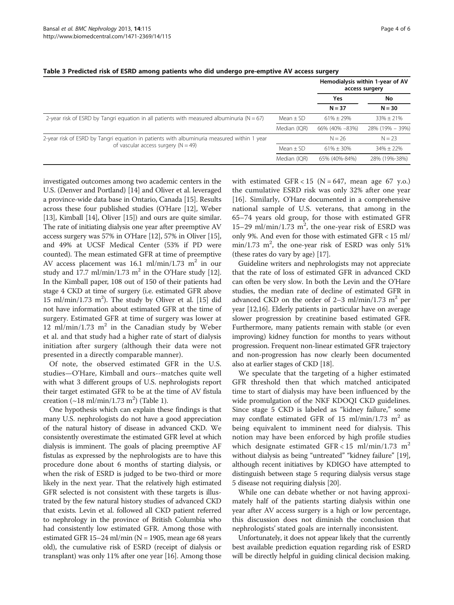|                                                                                               |               | Hemodialysis within 1-year of AV<br>access surgery |                 |
|-----------------------------------------------------------------------------------------------|---------------|----------------------------------------------------|-----------------|
|                                                                                               |               | Yes<br>$N = 37$                                    | No<br>$N = 30$  |
|                                                                                               |               |                                                    |                 |
| 2-year risk of ESRD by Tangri equation in all patients with measured albuminuria ( $N = 67$ ) | Mean $\pm$ SD | $61\% + 29\%$                                      | $33\% \pm 21\%$ |
|                                                                                               | Median (IQR)  | 66% (40% -83%)                                     | 28% (19% - 39%) |
| 2-year risk of ESRD by Tangri equation in patients with albuminuria measured within 1 year    |               | $N = 26$                                           | $N = 23$        |
| of vascular access surgery $(N = 49)$                                                         | $Mean + SD$   | $61\% + 30\%$                                      | $34\% \pm 22\%$ |
|                                                                                               | Median (IOR)  | 65% (40%-84%)                                      | 28% (19%-38%)   |

#### <span id="page-3-0"></span>Table 3 Predicted risk of ESRD among patients who did undergo pre-emptive AV access surgery

investigated outcomes among two academic centers in the U.S. (Denver and Portland) [\[14\]](#page-5-0) and Oliver et al. leveraged a province-wide data base in Ontario, Canada [[15](#page-5-0)]. Results across these four published studies (O'Hare [[12](#page-5-0)], Weber [[13](#page-5-0)], Kimball [\[14](#page-5-0)], Oliver [[15](#page-5-0)]) and ours are quite similar. The rate of initiating dialysis one year after preemptive AV access surgery was 57% in O'Hare [\[12\]](#page-5-0), 57% in Oliver [[15](#page-5-0)], and 49% at UCSF Medical Center (53% if PD were counted). The mean estimated GFR at time of preemptive AV access placement was 16.1 ml/min/1.73  $m^2$  in our study and 17.7 ml/min/1.73 m<sup>2</sup> in the O'Hare study [[12](#page-5-0)]. In the Kimball paper, 108 out of 150 of their patients had stage 4 CKD at time of surgery (i.e. estimated GFR above  $15$  ml/min/ $1.73$  m<sup>2</sup>). The study by Oliver et al. [[15\]](#page-5-0) did not have information about estimated GFR at the time of surgery. Estimated GFR at time of surgery was lower at 12 ml/min/1.73  $m^2$  in the Canadian study by Weber et al. and that study had a higher rate of start of dialysis initiation after surgery (although their data were not presented in a directly comparable manner).

Of note, the observed estimated GFR in the U.S. studies—O'Hare, Kimball and ours--matches quite well with what 3 different groups of U.S. nephrologists report their target estimated GFR to be at the time of AV fistula creation  $(\sim 18 \text{ ml/min}/1.73 \text{ m}^2)$  $(\sim 18 \text{ ml/min}/1.73 \text{ m}^2)$  $(\sim 18 \text{ ml/min}/1.73 \text{ m}^2)$  (Table 1).

One hypothesis which can explain these findings is that many U.S. nephrologists do not have a good appreciation of the natural history of disease in advanced CKD. We consistently overestimate the estimated GFR level at which dialysis is imminent. The goals of placing preemptive AF fistulas as expressed by the nephrologists are to have this procedure done about 6 months of starting dialysis, or when the risk of ESRD is judged to be two-third or more likely in the next year. That the relatively high estimated GFR selected is not consistent with these targets is illustrated by the few natural history studies of advanced CKD that exists. Levin et al. followed all CKD patient referred to nephrology in the province of British Columbia who had consistently low estimated GFR. Among those with estimated GFR 15–24 ml/min ( $N = 1905$ , mean age 68 years old), the cumulative risk of ESRD (receipt of dialysis or transplant) was only 11% after one year [\[16\]](#page-5-0). Among those

with estimated GFR < 15 (N = 647, mean age 67 y.o.) the cumulative ESRD risk was only 32% after one year [[16\]](#page-5-0). Similarly, O'Hare documented in a comprehensive national sample of U.S. veterans, that among in the 65–74 years old group, for those with estimated GFR 15–29 ml/min/1.73  $m^2$ , the one-year risk of ESRD was only 9%. And even for those with estimated GFR < 15 ml/ min/1.73 m<sup>2</sup>, the one-year risk of ESRD was only 51% (these rates do vary by age) [[17](#page-5-0)].

Guideline writers and nephrologists may not appreciate that the rate of loss of estimated GFR in advanced CKD can often be very slow. In both the Levin and the O'Hare studies, the median rate of decline of estimated GFR in advanced CKD on the order of  $2-3$  ml/min/1.73 m<sup>2</sup> per year [\[12,16\]](#page-5-0). Elderly patients in particular have on average slower progression by creatinine based estimated GFR. Furthermore, many patients remain with stable (or even improving) kidney function for months to years without progression. Frequent non-linear estimated GFR trajectory and non-progression has now clearly been documented also at earlier stages of CKD [\[18\]](#page-5-0).

We speculate that the targeting of a higher estimated GFR threshold then that which matched anticipated time to start of dialysis may have been influenced by the wide promulgation of the NKF KDOQI CKD guidelines. Since stage 5 CKD is labeled as "kidney failure," some may conflate estimated GFR of 15 ml/min/1.73 m<sup>2</sup> as being equivalent to imminent need for dialysis. This notion may have been enforced by high profile studies which designate estimated GFR < 15 ml/min/1.73 m<sup>2</sup> without dialysis as being "untreated" "kidney failure" [[19](#page-5-0)], although recent initiatives by KDIGO have attempted to distinguish between stage 5 requring dialysis versus stage 5 disease not requiring dialysis [[20](#page-5-0)].

While one can debate whether or not having approximately half of the patients starting dialysis within one year after AV access surgery is a high or low percentage, this discussion does not diminish the conclusion that nephrologists' stated goals are internally inconsistent.

Unfortunately, it does not appear likely that the currently best available prediction equation regarding risk of ESRD will be directly helpful in guiding clinical decision making.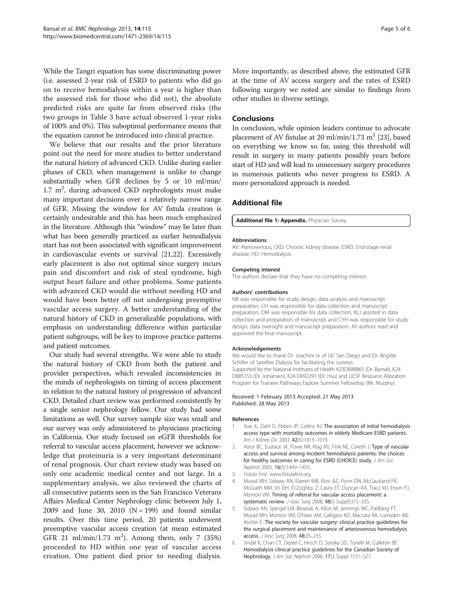<span id="page-4-0"></span>While the Tangri equation has some discriminating power (i.e. assessed 2-year risk of ESRD to patients who did go on to receive hemodialysis within a year is higher than the assessed risk for those who did not), the absolute predicted risks are quite far from observed risks (the two groups in Table [3](#page-3-0) have actual observed 1-year risks of 100% and 0%). This suboptimal performance means that the equation cannot be introduced into clinical practice.

We believe that our results and the prior literature point out the need for more studies to better understand the natural history of advanced CKD. Unlike during earlier phases of CKD, when management is unlike to change substantially when GFR declines by 5 or 10 ml/min/  $1.7 \text{ m}^2$ , during advanced CKD nephrologists must make many important decisions over a relatively narrow range of GFR. Missing the window for AV fistula creation is certainly undesirable and this has been much emphasized in the literature. Although this "window" may be later than what has been generally practiced as earlier hemodialysis start has not been associated with significant improvement in cardiovascular events or survival [\[21,22](#page-5-0)]. Excessively early placement is also not optimal since surgery incurs pain and discomfort and risk of steal syndrome, high output heart failure and other problems. Some patients with advanced CKD would die without needing HD and would have been better off not undergoing preemptive vascular access surgery. A better understanding of the natural history of CKD in generalizable populations, with emphasis on understanding difference within particular patient subgroups, will be key to improve practice patterns and patient outcomes.

Our study had several strengths. We were able to study the natural history of CKD from both the patient and provider perspectives, which revealed inconsistencies in the minds of nephrologists on timing of access placement in relation to the natural history of progression of advanced CKD. Detailed chart review was performed consistently by a single senior nephrology fellow. Our study had some limitations as well. Our survey sample size was small and our survey was only administered to physicians practicing in California. Our study focused on eGFR thresholds for referral to vascular access placement, however we acknowledge that proteinuria is a very important determinant of renal prognosis. Our chart review study was based on only one academic medical center and not large. In a supplementary analysis, we also reviewed the charts of all consecutive patients seen in the San Francisco Veterans Affairs Medical Center Nephrology clinic between July 1, 2009 and June 30, 2010  $(N = 199)$  and found similar results. Over this time period, 20 patients underwent preemptive vascular access creation (at mean estimated GFR 21 ml/min/1.73 m<sup>2</sup>). Among them, only 7 (35%) proceeded to HD within one year of vascular access creation. One patient died prior to needing dialysis. More importantly, as described above, the estimated GFR at the time of AV access surgery and the rates of ESRD following surgery we noted are similar to findings from other studies in diverse settings.

### **Conclusions**

In conclusion, while opinion leaders continue to advocate placement of AV fistulae at 20 ml/min/1.73  $m^2$  [\[23](#page-5-0)], based on everything we know so far, using this threshold will result in surgery in many patients possibly years before start of HD and will lead to unnecessary surgery procedures in numerous patients who never progress to ESRD. A more personalized approach is needed.

## Additional file

[Additional file 1: Appendix.](http://www.biomedcentral.com/content/supplementary/1471-2369-14-115-S1.docx) Physician Survey.

#### Abbreviations

AV: Ateriovenous; CKD: Chronic kidney disease; ESRD: End-stage renal disease; HD: Hemodialysis.

#### Competing interest

The authors declare that they have no competing interest.

#### Authors' contributions

NB was responsible for study design, data analysis and manuscript preparation, CH was responsible for data collection and manuscript preparation, DM was responsible for data collection, KLJ assisted in data collection and preparation of manuscript and CYH was responsible for study design, data oversight and manuscript preparation. All authors read and approved the final manuscript.

#### Acknowledgements

We would like to thank Dr. Joachim Ix of UC San Diego and Dr. Brigitte Schiller of Satellite Dialysis for facilitating the surveys. Supported by the National Institutes of Health K23DK88865 (Dr. Bansal), K24 DK85153 (Dr. Johansen), K24 DK92291 (Dr. Hsu) and UCSF Resource Allocation Program for Trainees Pathways Explore Summer Fellowship (Mr. Murphy).

#### Received: 1 February 2013 Accepted: 21 May 2013 Published: 28 May 2013

#### References

- Xue JL, Dahl D, Ebben JP, Collins AJ: The association of initial hemodialysis access type with mortality outcomes in elderly Medicare ESRD patients. Am J Kidney Dis 2003, 42(5):1013–1019.
- Astor BC, Eustace JA, Powe NR, Klag MJ, Fink NE, Coresh J: Type of vascular access and survival among incident hemodialysis patients: the choices for healthy outcomes in caring for ESRD (CHOICE) study. J Am Soc Nephrol 2005, 16(5):1449–1455.
- 3. Fistula First. [www.fistulafirst.org.](http://www.fistulafirst.org)
- 4. Murad MH, Sidawy AN, Elamin MB, Rizvi AZ, Flynn DN, McCausland FR, McGrath MM, Vo DH, El-Zoghby Z, Casey ET, Duncan AA, Tracz MJ, Erwin PJ, Montori VM: Timing of referral for vascular access placement: a systematic review. J Vasc Surg 2008, 48(5 Suppl):31S-33S.
- 5. Sidawy AN, Spergel LM, Besarab A, Allon M, Jennings WC, Padberg FT, Murad MH, Montori VM, O'Hare AM, Calligaro KD, Macsata RA, Lumsden AB, Ascher E: The society for vascular surgery: clinical practice guidelines for the surgical placement and maintenance of arteriovenous hemodialysis access. J Vasc Surg 2008, 48:2S–25S.
- 6. Jindal K, Chan CT, Deziel C, Hirsch D, Soroka SD, Tonelli M, Culleton BF: Hemodialysis clinical practice guidelines for the Canadian Society of Nephrology. J Am Soc Nephrol 2006, 17(3 Suppl 1):S1–S27.